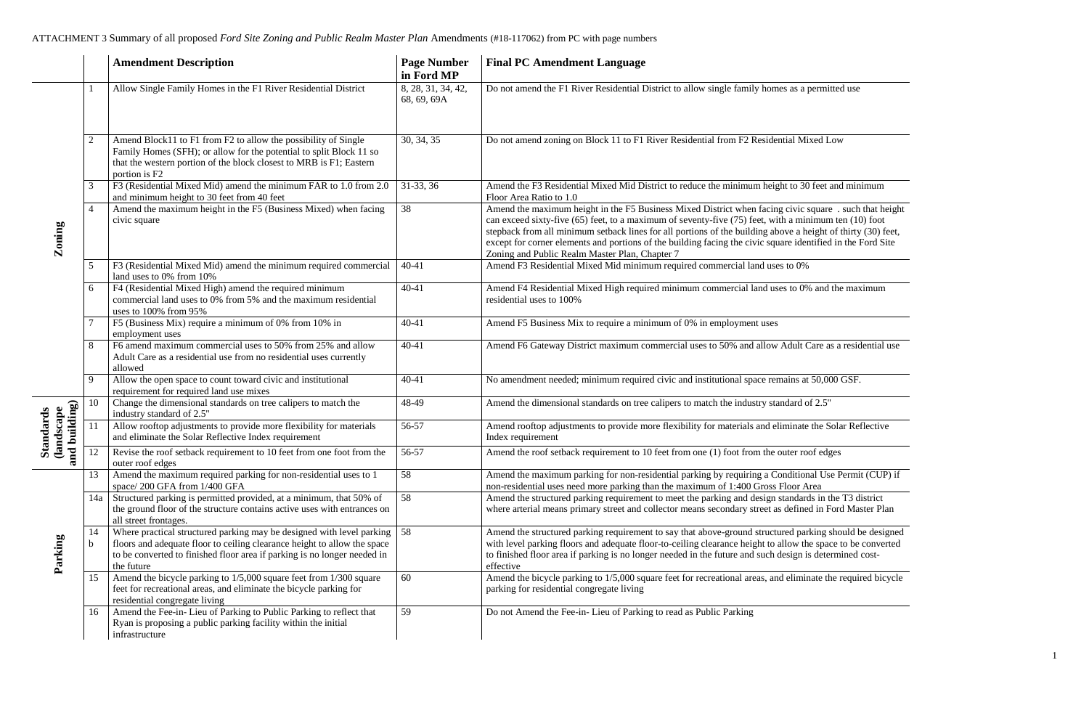|                                                                            |                | <b>Amendment Description</b>                                                                                                                                                                                                                | <b>Page Number</b><br>in Ford MP  | <b>Final PC Amendment Language</b>                                                                                                                                                                                                                                                                                                                                                                                        |
|----------------------------------------------------------------------------|----------------|---------------------------------------------------------------------------------------------------------------------------------------------------------------------------------------------------------------------------------------------|-----------------------------------|---------------------------------------------------------------------------------------------------------------------------------------------------------------------------------------------------------------------------------------------------------------------------------------------------------------------------------------------------------------------------------------------------------------------------|
|                                                                            |                | Allow Single Family Homes in the F1 River Residential District                                                                                                                                                                              | 8, 28, 31, 34, 42,<br>68, 69, 69A | Do not amend the F1 River Residential District to allow single family homes as a permi                                                                                                                                                                                                                                                                                                                                    |
| Zoning                                                                     | $\overline{2}$ | Amend Block11 to F1 from F2 to allow the possibility of Single<br>Family Homes (SFH); or allow for the potential to split Block 11 so<br>that the western portion of the block closest to MRB is F1; Eastern<br>portion is F2               | 30, 34, 35                        | Do not amend zoning on Block 11 to F1 River Residential from F2 Residential Mixed L                                                                                                                                                                                                                                                                                                                                       |
|                                                                            | 3              | F3 (Residential Mixed Mid) amend the minimum FAR to 1.0 from 2.0                                                                                                                                                                            | 31-33, 36                         | Amend the F3 Residential Mixed Mid District to reduce the minimum height to 30 feet<br>Floor Area Ratio to 1.0                                                                                                                                                                                                                                                                                                            |
|                                                                            | $\overline{4}$ | and minimum height to 30 feet from 40 feet<br>Amend the maximum height in the F5 (Business Mixed) when facing<br>civic square                                                                                                               | 38                                | Amend the maximum height in the F5 Business Mixed District when facing civic square<br>can exceed sixty-five (65) feet, to a maximum of seventy-five (75) feet, with a minimum<br>stepback from all minimum setback lines for all portions of the building above a height<br>except for corner elements and portions of the building facing the civic square identified<br>Zoning and Public Realm Master Plan, Chapter 7 |
|                                                                            | 5              | F3 (Residential Mixed Mid) amend the minimum required commercial<br>land uses to 0% from 10%                                                                                                                                                | $40 - 41$                         | Amend F3 Residential Mixed Mid minimum required commercial land uses to 0%                                                                                                                                                                                                                                                                                                                                                |
|                                                                            | 6              | F4 (Residential Mixed High) amend the required minimum<br>commercial land uses to 0% from 5% and the maximum residential<br>uses to 100% from 95%                                                                                           | 40-41                             | Amend F4 Residential Mixed High required minimum commercial land uses to 0% and<br>residential uses to 100%                                                                                                                                                                                                                                                                                                               |
|                                                                            |                | F5 (Business Mix) require a minimum of 0% from 10% in<br>employment uses                                                                                                                                                                    | 40-41                             | Amend F5 Business Mix to require a minimum of 0% in employment uses                                                                                                                                                                                                                                                                                                                                                       |
|                                                                            | 8              | F6 amend maximum commercial uses to 50% from 25% and allow<br>Adult Care as a residential use from no residential uses currently<br>allowed                                                                                                 | $40 - 41$                         | Amend F6 Gateway District maximum commercial uses to 50% and allow Adult Care a                                                                                                                                                                                                                                                                                                                                           |
|                                                                            | -9             | Allow the open space to count toward civic and institutional<br>requirement for required land use mixes                                                                                                                                     | 40-41                             | No amendment needed; minimum required civic and institutional space remains at 50,00                                                                                                                                                                                                                                                                                                                                      |
| building)<br>andscape<br>tandards<br>$\overline{\phantom{a}}$<br>ΩÊ<br>and | 10             | Change the dimensional standards on tree calipers to match the<br>industry standard of 2.5"                                                                                                                                                 | 48-49                             | Amend the dimensional standards on tree calipers to match the industry standard of 2.5"                                                                                                                                                                                                                                                                                                                                   |
|                                                                            | 11             | Allow rooftop adjustments to provide more flexibility for materials<br>and eliminate the Solar Reflective Index requirement                                                                                                                 | 56-57                             | Amend rooftop adjustments to provide more flexibility for materials and eliminate the S<br>Index requirement                                                                                                                                                                                                                                                                                                              |
|                                                                            | 12             | Revise the roof setback requirement to 10 feet from one foot from the<br>outer roof edges                                                                                                                                                   | 56-57                             | Amend the roof setback requirement to 10 feet from one (1) foot from the outer roof edg                                                                                                                                                                                                                                                                                                                                   |
| Parking                                                                    | 13             | Amend the maximum required parking for non-residential uses to 1<br>space/200 GFA from 1/400 GFA                                                                                                                                            | 58                                | Amend the maximum parking for non-residential parking by requiring a Conditional Us<br>non-residential uses need more parking than the maximum of 1:400 Gross Floor Area                                                                                                                                                                                                                                                  |
|                                                                            | 14a            | Structured parking is permitted provided, at a minimum, that 50% of<br>the ground floor of the structure contains active uses with entrances on<br>all street frontages.                                                                    | 58                                | Amend the structured parking requirement to meet the parking and design standards in t<br>where arterial means primary street and collector means secondary street as defined in F                                                                                                                                                                                                                                        |
|                                                                            | 14             | Where practical structured parking may be designed with level parking<br>floors and adequate floor to ceiling clearance height to allow the space<br>to be converted to finished floor area if parking is no longer needed in<br>the future | 58                                | Amend the structured parking requirement to say that above-ground structured parking s<br>with level parking floors and adequate floor-to-ceiling clearance height to allow the space<br>to finished floor area if parking is no longer needed in the future and such design is dete<br>effective                                                                                                                         |
|                                                                            | 15             | Amend the bicycle parking to $1/5,000$ square feet from $1/\overline{300}$ square<br>feet for recreational areas, and eliminate the bicycle parking for<br>residential congregate living                                                    | 60                                | Amend the bicycle parking to 1/5,000 square feet for recreational areas, and eliminate the<br>parking for residential congregate living                                                                                                                                                                                                                                                                                   |
|                                                                            | 16             | Amend the Fee-in- Lieu of Parking to Public Parking to reflect that<br>Ryan is proposing a public parking facility within the initial<br>infrastructure                                                                                     | 59                                | Do not Amend the Fee-in-Lieu of Parking to read as Public Parking                                                                                                                                                                                                                                                                                                                                                         |

a permitted use

Mixed Low

30 feet and minimum

 $\overline{v}$ ic square . such that height minimum ten  $(10)$  foot a height of thirty (30) feet, dentified in the Ford Site

 $60\%$  and the maximum

alt Care as a residential use

 $\frac{1}{\sqrt{10}}$  at 50,000 GSF.

nate the Solar Reflective

r roof edges

tional Use Permit (CUP) if dards in the T3 district

ined in Ford Master Plan

parking should be designed with less and a parking flooreerto-ceiling floor-to-ceiling converted the is determined cost-

minate the required bicycle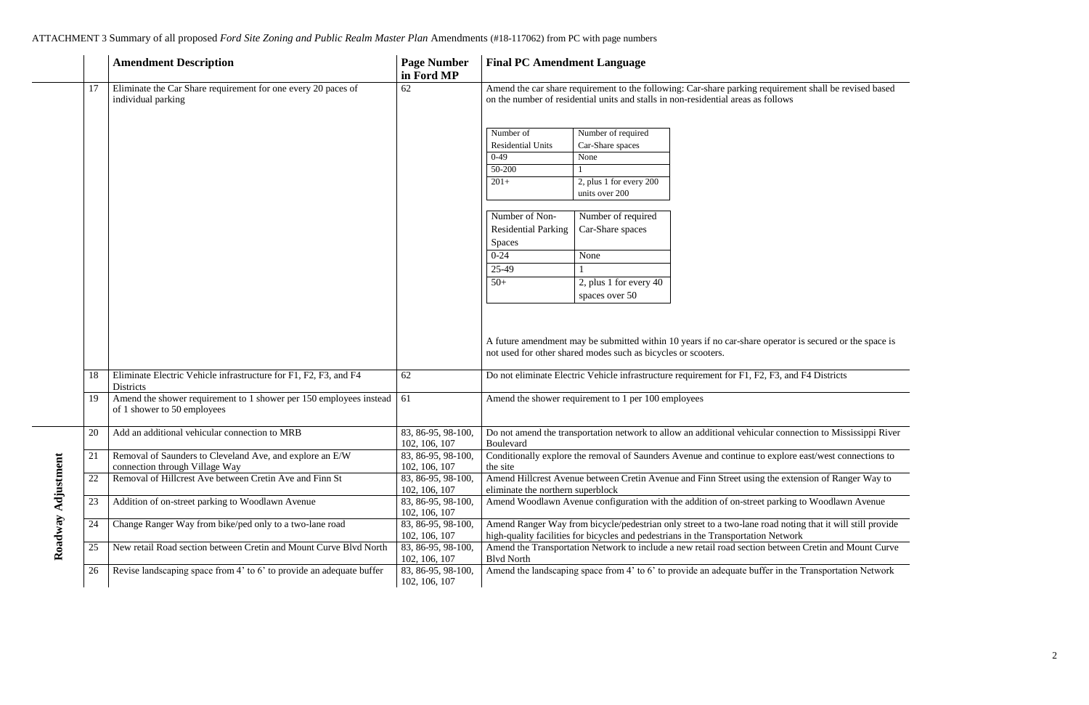|                    |    | <b>Amendment Description</b>                                                                      | <b>Page Number</b><br>in Ford MP    | <b>Final PC Amendment Language</b>                                                                                                                                   |                                                                                             |                                                                                                                                                                      |
|--------------------|----|---------------------------------------------------------------------------------------------------|-------------------------------------|----------------------------------------------------------------------------------------------------------------------------------------------------------------------|---------------------------------------------------------------------------------------------|----------------------------------------------------------------------------------------------------------------------------------------------------------------------|
|                    | 17 | Eliminate the Car Share requirement for one every 20 paces of<br>individual parking               | 62                                  | Amend the car share requirement to the following: Car-share parking requirement<br>on the number of residential units and stalls in non-residential areas as follows |                                                                                             |                                                                                                                                                                      |
|                    |    |                                                                                                   |                                     | Number of<br><b>Residential Units</b><br>$0-49$<br>50-200<br>$201+$                                                                                                  | Number of required<br>Car-Share spaces<br>None<br>2, plus 1 for every 200<br>units over 200 |                                                                                                                                                                      |
|                    |    |                                                                                                   |                                     | Number of Non-<br><b>Residential Parking</b><br><b>Spaces</b>                                                                                                        | Number of required<br>Car-Share spaces                                                      |                                                                                                                                                                      |
| Roadway Adjustment |    |                                                                                                   |                                     | $0 - 24$<br>25-49                                                                                                                                                    | None                                                                                        |                                                                                                                                                                      |
|                    |    |                                                                                                   |                                     | $50+$                                                                                                                                                                | 2, plus 1 for every $40$<br>spaces over 50                                                  |                                                                                                                                                                      |
|                    |    |                                                                                                   |                                     |                                                                                                                                                                      | not used for other shared modes such as bicycles or scooters.                               | A future amendment may be submitted within 10 years if no car-share operator is                                                                                      |
|                    | 18 | Eliminate Electric Vehicle infrastructure for F1, F2, F3, and F4<br>Districts                     | 62                                  | Do not eliminate Electric Vehicle infrastructure requirement for F1, F2, F3, and l                                                                                   |                                                                                             |                                                                                                                                                                      |
|                    | 19 | Amend the shower requirement to 1 shower per 150 employees instead<br>of 1 shower to 50 employees | 61                                  | Amend the shower requirement to 1 per 100 employees                                                                                                                  |                                                                                             |                                                                                                                                                                      |
|                    | 20 | Add an additional vehicular connection to MRB                                                     | 83, 86-95, 98-100,<br>102, 106, 107 | Do not amend the transportation network to allow an additional vehicular connect<br>Boulevard                                                                        |                                                                                             |                                                                                                                                                                      |
|                    | 21 | Removal of Saunders to Cleveland Ave, and explore an E/W<br>connection through Village Way        | 83, 86-95, 98-100,<br>102, 106, 107 | the site                                                                                                                                                             |                                                                                             | Conditionally explore the removal of Saunders Avenue and continue to explore e                                                                                       |
|                    | 22 | Removal of Hillcrest Ave between Cretin Ave and Finn St                                           | 83, 86-95, 98-100,<br>102, 106, 107 | Amend Hillcrest Avenue between Cretin Avenue and Finn Street using the exten<br>eliminate the northern superblock                                                    |                                                                                             |                                                                                                                                                                      |
|                    | 23 | Addition of on-street parking to Woodlawn Avenue                                                  | 83, 86-95, 98-100,<br>102, 106, 107 | Amend Woodlawn Avenue configuration with the addition of on-street parking t                                                                                         |                                                                                             |                                                                                                                                                                      |
|                    | 24 | Change Ranger Way from bike/ped only to a two-lane road                                           | 83, 86-95, 98-100,<br>102, 106, 107 |                                                                                                                                                                      |                                                                                             | Amend Ranger Way from bicycle/pedestrian only street to a two-lane road noting<br>high-quality facilities for bicycles and pedestrians in the Transportation Network |
|                    | 25 | New retail Road section between Cretin and Mount Curve Blvd North                                 | 83, 86-95, 98-100,<br>102, 106, 107 | <b>Blvd North</b>                                                                                                                                                    |                                                                                             | Amend the Transportation Network to include a new retail road section between                                                                                        |
|                    | 26 | Revise landscaping space from 4' to 6' to provide an adequate buffer                              | 83, 86-95, 98-100,<br>102, 106, 107 |                                                                                                                                                                      |                                                                                             | Amend the landscaping space from 4' to 6' to provide an adequate buffer in the 7                                                                                     |

ent shall be revised based

r is secured or the space is

d F4 Districts

ection to Mississippi River

explore the removal of  $\overline{\text{e}^{\text{2}}\text{c}^{\text{2}}}$ 

ension of Ranger Way to

to Woodlawn Avenue

Amend Ranger that it will still provide

In Cretin and Mount Curve

 $\overline{\text{P}}$  Transportation Network